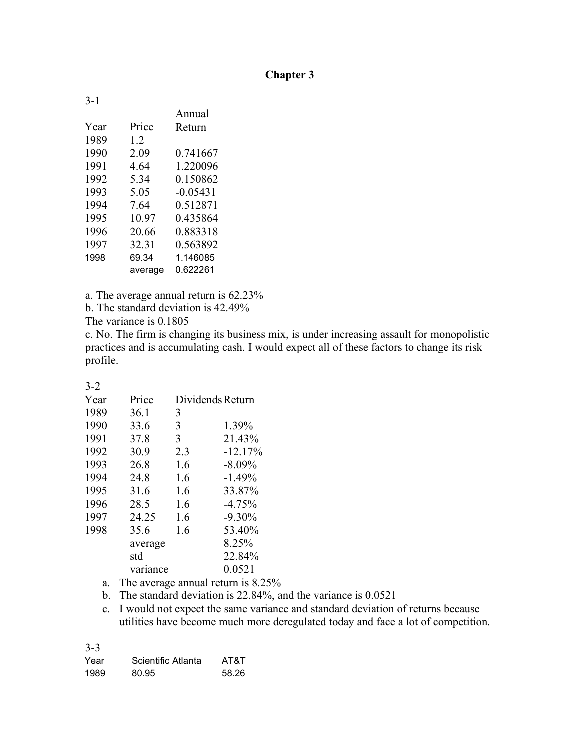## **Chapter 3**

| $3 - 1$ |         |            |
|---------|---------|------------|
|         |         | Annual     |
| Year    | Price   | Return     |
| 1989    | 1.2     |            |
| 1990    | 2.09    | 0.741667   |
| 1991    | 4.64    | 1.220096   |
| 1992    | 5.34    | 0.150862   |
| 1993    | 5.05    | $-0.05431$ |
| 1994    | 7.64    | 0.512871   |
| 1995    | 10.97   | 0.435864   |
| 1996    | 20.66   | 0.883318   |
| 1997    | 32.31   | 0.563892   |
| 1998    | 69.34   | 1.146085   |
|         | average | 0.622261   |

a. The average annual return is 62.23%

b. The standard deviation is 42.49%

The variance is 0.1805

c. No. The firm is changing its business mix, is under increasing assault for monopolistic practices and is accumulating cash. I would expect all of these factors to change its risk profile.

| I<br>۰. |  |
|---------|--|

| Year | Price    | Dividends Return |           |
|------|----------|------------------|-----------|
| 1989 | 36.1     | 3                |           |
| 1990 | 33.6     | 3                | 1.39%     |
| 1991 | 37.8     | 3                | 21.43%    |
| 1992 | 30.9     | 2.3              | $-12.17%$ |
| 1993 | 26.8     | 1.6              | $-8.09%$  |
| 1994 | 24.8     | 1.6              | $-1.49%$  |
| 1995 | 31.6     | 1.6              | 33.87%    |
| 1996 | 28.5     | 1.6              | $-4.75%$  |
| 1997 | 24.25    | 1.6              | $-9.30%$  |
| 1998 | 35.6     | 1.6              | 53.40%    |
|      | average  |                  | 8.25%     |
|      | std      |                  | 22.84%    |
|      | variance |                  | 0.0521    |

- a. The average annual return is 8.25%
- b. The standard deviation is 22.84%, and the variance is 0.0521

c. I would not expect the same variance and standard deviation of returns because utilities have become much more deregulated today and face a lot of competition.

| Year | Scientific Atlanta | AT&T  |
|------|--------------------|-------|
| 1989 | 80.95              | 58.26 |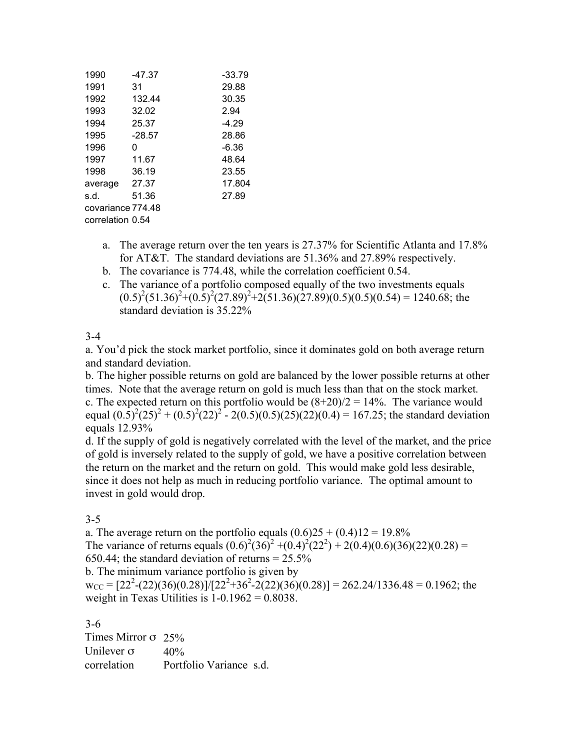| 1990              | $-47.37$ |      | $-33.79$ |
|-------------------|----------|------|----------|
| 1991              | 31       |      | 29.88    |
| 1992              | 132.44   |      | 30.35    |
| 1993              | 32.02    | 2.94 |          |
| 1994              | 25.37    |      | $-4.29$  |
| 1995              | $-28.57$ |      | 28.86    |
| 1996              | 0        |      | -6.36    |
| 1997              | 11.67    |      | 48.64    |
| 1998              | 36.19    |      | 23.55    |
| average           | 27.37    |      | 17.804   |
| s.d.              | 51.36    |      | 27.89    |
| covariance 774.48 |          |      |          |
| correlation 0.54  |          |      |          |

- a. The average return over the ten years is 27.37% for Scientific Atlanta and 17.8% for AT&T. The standard deviations are 51.36% and 27.89% respectively.
- b. The covariance is 774.48, while the correlation coefficient 0.54.
- c. The variance of a portfolio composed equally of the two investments equals  $(0.5)^2(51.36)^2+(0.5)^2(27.89)^2+2(51.36)(27.89)(0.5)(0.5)(0.54) = 1240.68$ ; the standard deviation is 35.22%

#### 3-4

a. You'd pick the stock market portfolio, since it dominates gold on both average return and standard deviation.

b. The higher possible returns on gold are balanced by the lower possible returns at other times. Note that the average return on gold is much less than that on the stock market. c. The expected return on this portfolio would be  $(8+20)/2 = 14%$ . The variance would equal  $(0.5)^2 (25)^2 + (0.5)^2 (22)^2 - 2(0.5)(0.5)(25)(22)(0.4) = 167.25$ ; the standard deviation equals 12.93%

d. If the supply of gold is negatively correlated with the level of the market, and the price of gold is inversely related to the supply of gold, we have a positive correlation between the return on the market and the return on gold. This would make gold less desirable, since it does not help as much in reducing portfolio variance. The optimal amount to invest in gold would drop.

#### 3-5

a. The average return on the portfolio equals  $(0.6)25 + (0.4)12 = 19.8\%$ The variance of returns equals  $(0.6)^2 (36)^2 + (0.4)^2 (22^2) + 2(0.4)(0.6)(36)(22)(0.28) =$ 650.44; the standard deviation of returns  $= 25.5\%$ 

b. The minimum variance portfolio is given by

 $w_{CC} = [22^2-(22)(36)(0.28)]/[22^2+36^2-(22)(36)(0.28)] = 262.24/1336.48 = 0.1962$ ; the weight in Texas Utilities is  $1-0.1962 = 0.8038$ .

| Times Mirror $\sigma$ 25% |                         |
|---------------------------|-------------------------|
| Unilever $\sigma$         | 40%                     |
| correlation               | Portfolio Variance s.d. |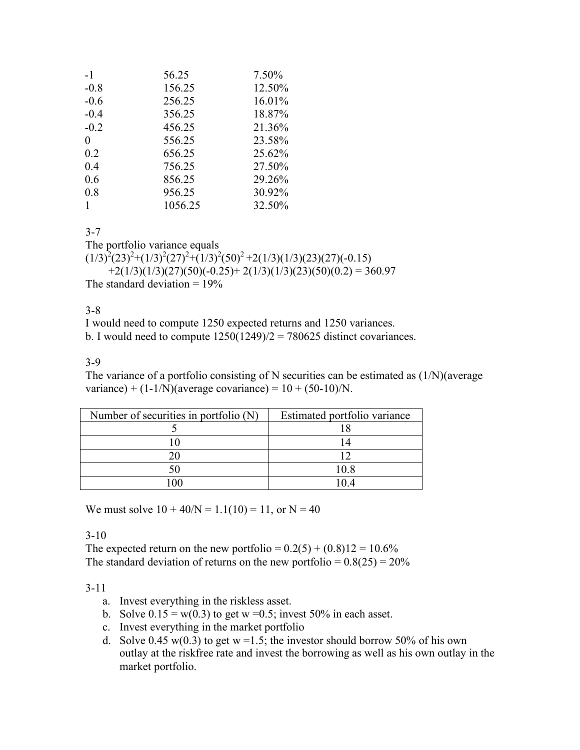| $-1$     | 56.25   | 7.50%  |
|----------|---------|--------|
| $-0.8$   | 156.25  | 12.50% |
| $-0.6$   | 256.25  | 16.01% |
| $-0.4$   | 356.25  | 18.87% |
| $-0.2$   | 456.25  | 21.36% |
| $\theta$ | 556.25  | 23.58% |
| 0.2      | 656.25  | 25.62% |
| 0.4      | 756.25  | 27.50% |
| 0.6      | 856.25  | 29.26% |
| 0.8      | 956.25  | 30.92% |
|          | 1056.25 | 32.50% |

3-7

The portfolio variance equals

 $(1/3)^{2}(23)^{2}+(1/3)^{2}(27)^{2}+(1/3)^{2}(50)^{2}+2(1/3)(1/3)(23)(27)(-0.15)$  $+2(1/3)(1/3)(27)(50)(-0.25)+2(1/3)(1/3)(23)(50)(0.2) = 360.97$ The standard deviation  $= 19\%$ 

#### 3-8

I would need to compute 1250 expected returns and 1250 variances. b. I would need to compute  $1250(1249)/2 = 780625$  distinct covariances.

## 3-9

The variance of a portfolio consisting of N securities can be estimated as  $(1/N)(\text{average})$ variance) +  $(1-1/N)($ average covariance) =  $10 + (50-10)/N$ .

| Number of securities in portfolio (N) | Estimated portfolio variance |
|---------------------------------------|------------------------------|
|                                       |                              |
|                                       |                              |
|                                       |                              |
|                                       | 10.8                         |
|                                       |                              |

We must solve  $10 + 40/N = 1.1(10) = 11$ , or N = 40

3-10

The expected return on the new portfolio =  $0.2(5) + (0.8)12 = 10.6\%$ The standard deviation of returns on the new portfolio =  $0.8(25) = 20\%$ 

- a. Invest everything in the riskless asset.
- b. Solve  $0.15 = w(0.3)$  to get w = 0.5; invest 50% in each asset.
- c. Invest everything in the market portfolio
- d. Solve 0.45 w(0.3) to get  $w = 1.5$ ; the investor should borrow 50% of his own outlay at the riskfree rate and invest the borrowing as well as his own outlay in the market portfolio.